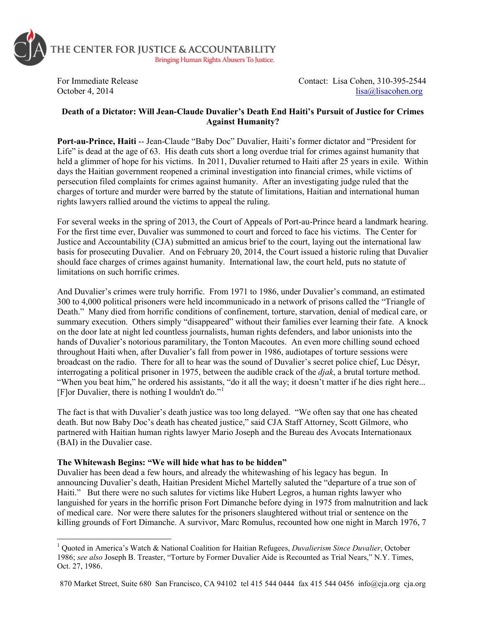

For Immediate Release Contact: Lisa Cohen, 310-395-2544 October 4, 2014 lisa alisa cohen.org lisa alisa cohen.org lisa alisa cohen.org lisa alisa cohen.org lisa alisa cohen.org lisa alisa cohen.org lisa alisa cohen.org lisa alisa cohen.org lisa alisa cohen.org lisa alisa cohen.

## **Death of a Dictator: Will Jean-Claude Duvalier's Death End Haiti's Pursuit of Justice for Crimes Against Humanity?**

**Port-au-Prince, Haiti** -- Jean-Claude "Baby Doc" Duvalier, Haiti's former dictator and "President for Life" is dead at the age of 63. His death cuts short a long overdue trial for crimes against humanity that held a glimmer of hope for his victims. In 2011, Duvalier returned to Haiti after 25 years in exile. Within days the Haitian government reopened a criminal investigation into financial crimes, while victims of persecution filed complaints for crimes against humanity. After an investigating judge ruled that the charges of torture and murder were barred by the statute of limitations, Haitian and international human rights lawyers rallied around the victims to appeal the ruling.

For several weeks in the spring of 2013, the Court of Appeals of Port-au-Prince heard a landmark hearing. For the first time ever, Duvalier was summoned to court and forced to face his victims. The Center for Justice and Accountability (CJA) submitted an amicus brief to the court, laying out the international law basis for prosecuting Duvalier. And on February 20, 2014, the Court issued a historic ruling that Duvalier should face charges of crimes against humanity. International law, the court held, puts no statute of limitations on such horrific crimes.

And Duvalier's crimes were truly horrific. From 1971 to 1986, under Duvalier's command, an estimated 300 to 4,000 political prisoners were held incommunicado in a network of prisons called the "Triangle of Death." Many died from horrific conditions of confinement, torture, starvation, denial of medical care, or summary execution. Others simply "disappeared" without their families ever learning their fate. A knock on the door late at night led countless journalists, human rights defenders, and labor unionists into the hands of Duvalier's notorious paramilitary, the Tonton Macoutes. An even more chilling sound echoed throughout Haiti when, after Duvalier's fall from power in 1986, audiotapes of torture sessions were broadcast on the radio. There for all to hear was the sound of Duvalier's secret police chief, Luc Désyr, interrogating a political prisoner in 1975, between the audible crack of the *djak*, a brutal torture method. "When you beat him," he ordered his assistants, "do it all the way; it doesn't matter if he dies right here... [F]or Duvalier, there is nothing I wouldn't do."[1](#page-0-0)

The fact is that with Duvalier's death justice was too long delayed. "We often say that one has cheated death. But now Baby Doc's death has cheated justice," said CJA Staff Attorney, Scott Gilmore, who partnered with Haitian human rights lawyer Mario Joseph and the Bureau des Avocats Internationaux (BAI) in the Duvalier case.

## **The Whitewash Begins: "We will hide what has to be hidden"**

Duvalier has been dead a few hours, and already the whitewashing of his legacy has begun. In announcing Duvalier's death, Haitian President Michel Martelly saluted the "departure of a true son of Haiti." But there were no such salutes for victims like Hubert Legros, a human rights lawyer who languished for years in the horrific prison Fort Dimanche before dying in 1975 from malnutrition and lack of medical care. Nor were there salutes for the prisoners slaughtered without trial or sentence on the killing grounds of Fort Dimanche. A survivor, Marc Romulus, recounted how one night in March 1976, 7

<span id="page-0-0"></span> <sup>1</sup> Quoted in America's Watch & National Coalition for Haitian Refugees, *Duvalierism Since Duvalier*, October 1986; *see also* Joseph B. Treaster, "Torture by Former Duvalier Aide is Recounted as Trial Nears," N.Y. Times, Oct. 27, 1986.